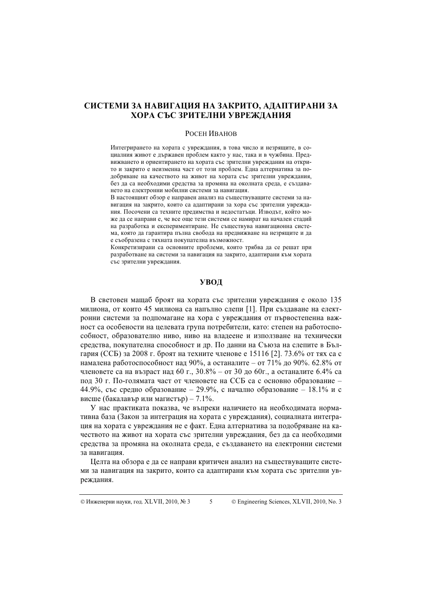# СИСТЕМИ ЗА НАВИГАЦИЯ НА ЗАКРИТО, АДАПТИРАНИ ЗА ХОРА СЪС ЗРИТЕЛНИ УВРЕЖДАНИЯ

#### **РОСЕН ИВАНОВ**

Интегрирането на хората с увреждания, в това число и незрящите, в социалния живот е държавен проблем както у нас, така и в чужбина. Предвижването и ориентирането на хората със зрителни увреждания на открито и закрито е неизменна част от този проблем. Една алтернатива за подобряване на качеството на живот на хората със зрителни увреждания, без да са необходими средства за промяна на околната среда, е създаването на електронни мобилни системи за навигация.

В настоящият обзор е направен анализ на съществуващите системи за навигация на закрито, които са адаптирани за хора със зрителни увреждания. Посочени са техните предимства и недостатъци. Изводът, който може да се направи е, че все още тези системи се намират на начален стадий на разработка и експериментиране. Не съществува навигационна система, която да гарантира пълна свобода на предвижване на незрящите и да е съобразена с тяхната покупателна възможност.

Конкретизирани са основните проблеми, които трябва ла се решат при разработване на системи за навигация на закрито, адаптирани към хората със зрителни увреждания.

#### УВОД

В световен машаб броят на хората със зрителни увреждания е около 135 милиона, от които 45 милиона са напълно слепи [1]. При създаване на електронни системи за подпомагане на хора с увреждания от първостепенна важност са особености на целевата група потребители, като: степен на работоспособност, образователно ниво, ниво на владеене и използване на технически средства, покупателна способност и др. По данни на Съюза на слепите в България (ССБ) за 2008 г. броят на техните членове е 15116 [2]. 73.6% от тях са с намалена работоспособност над 90%, а останалите – от 71% до 90%. 62.8% от членовете са на възраст над 60 г.,  $30.8\%$  – от 30 до 60г., а останалите 6.4% са под 30 г. По-голямата част от членовете на ССБ са с основно образование -44.9%, със средно образование - 29.9%, с начално образование - 18.1% и с висше (бакалавър или магистър) – 7.1%.

У нас практиката показва, че въпреки наличието на необходимата нормативна база (Закон за интеграция на хората с увреждания), социалната интеграция на хората с увреждания не е факт. Една алтернатива за подобряване на качеството на живот на хората със зрителни увреждания, без да са необходими средства за промяна на околната среда, е създаването на електронни системи за навигация.

Целта на обзора е да се направи критичен анализ на съществуващите системи за навигация на закрито, които са алаптирани към хората със зрителни увреждания.

© Engineering Sciences, XLVII, 2010, No. 3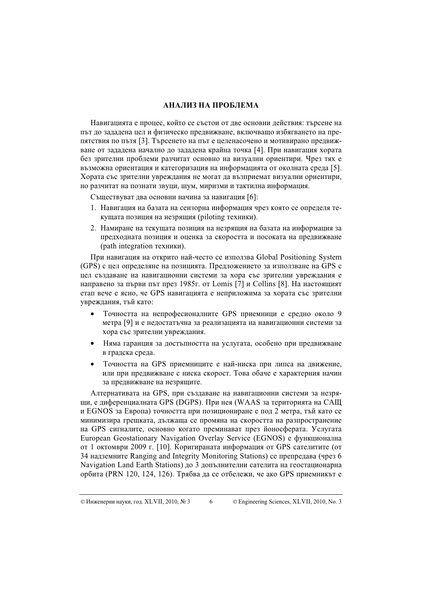## АНАЛИЗ НА ПРОБЛЕМА

Навигацията е процес, който се състои от две основни действия: търсене на път до зададена цел и физическо предвижване, включващо избягването на препятствия по пътя [3]. Търсенето на път е целенасочено и мотивирано предвижване от зададена начално до зададена крайна точка [4]. При навигация хората без зрителни проблеми разчитат основно на визуални ориентири. Чрез тях е възможна ориентация и категоризация на информацията от околната среда [5]. Хората със зрителни увреждания не могат да възприемат визуални ориентири, но разчитат на познати звуци, шум, миризми и тактилна информация.

Съществуват два основни начина за навигация [6]:

- 1. Навигация на базата на сензорна информация чрез която се определя текущата позиция на незрящия (piloting техники).
- 2. Намиране на текущата позиция на незрящия на базата на информация за предходната позиция и оценка за скоростта и посоката на предвижване (path integration техники).

При навигация на открито най-често се използва Global Positioning System (GPS) с цел определяне на позицията. Предложението за използване на GPS с цел създаване на навигационни системи за хора със зрителни увреждания е направено за първи път през 1985г. от Lomis [7] и Collins [8]. На настоящият етап вече е ясно, че GPS навигацията е неприложима за хората със зрителни увреждания, тъй като:

- Точността на непрофесионалните GPS приемници е средно около 9 метра [9] и е недостатъчна за реализацията на навигационни системи за хора със зрителни увреждания.
- Няма гаранция за достъпността на услугата, особено при предвижване в градска среда.
- Точността на GPS приемниците е най-ниска при липса на движение, или при предвижване с ниска скорост. Това обаче е характерния начин за предвижване на незрящите.

Алтернативата на GPS, при създаване на навигационни системи за незрящи, е диференциалната GPS (DGPS). При нея (WAAS за територията на САЩ и EGNOS за Европа) точността при позициониране е под 2 метра, тъй като се минимизира грешката, дължаща се промяна на скоростта на разпространение на GPS сигналите, основно когато преминават през йоносферата. Услугата European Geostationary Navigation Overlay Service (EGNOS) е функционална от 1 октомври 2009 г. [10]. Коригираната информация от GPS сателитите (от 34 надземните Ranging and Integrity Monitoring Stations) се препредава (чрез 6 Navigation Land Earth Stations) до 3 допълнителни сателита на геостационарна орбита (PRN 120, 124, 126). Трябва да се отбележи, че ако GPS приемникът е

<sup>6 ©</sup> Engineering Sciences, XLVII, 2010, No. 3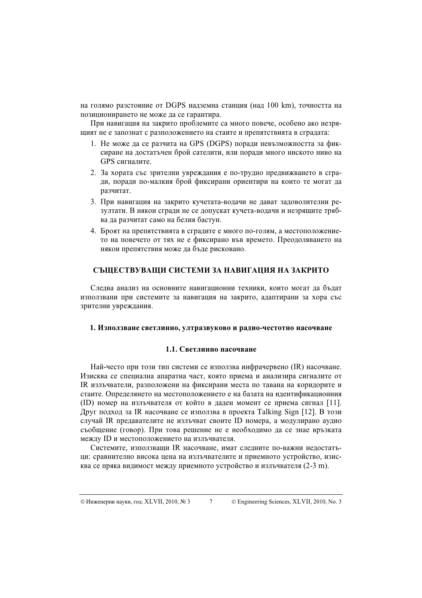на голямо разстояние от DGPS надземна станция (над 100 km), точността на позиционирането не може да се гарантира.

При навигация на закрито проблемите са много повече, особено ако незрящият не е запознат с разположението на стаите и препятствията в сградата:

- 1. Не може да се разчита на GPS (DGPS) поради невъзможността за фиксиране на достатьчен брой сателити, или поради много ниското ниво на GPS сигналите.
- 2. За хората със зрителни увреждания е по-трудно предвижването в сгради, поради по-малкия брой фиксирани ориентири на които те могат да разчитат.
- 3. При навигация на закрито кучетата-водачи не дават заловолителни резултати. В някои сгради не се допускат кучета-водачи и незрящите трябва да разчитат само на белия бастун.
- 4. Броят на препятствията в сградите е много по-голям, а местоположението на повечето от тях не е фиксирано във времето. Преодоляването на някои препятствия може да бъде рисковано.

## СЪЩЕСТВУВАЩИ СИСТЕМИ ЗА НАВИГАЦИЯ НА ЗАКРИТО

Следва анализ на основните навигационни техники, които могат да бъдат използвани при системите за навигация на закрито, адаптирани за хора със зрителни увреждания.

## 1. Използване светлинно, ултразвуково и радио-честотно насочване

## 1.1. Светлинно насочване

Най-често при този тип системи се използва инфрачервено (IR) насочване. Изисква се специална апаратна част, която приема и анализира сигналите от IR излъчватели, разположени на фиксирани места по тавана на коридорите и стаите. Определянето на местоположението е на базата на идентификационния (ID) номер на излъчвателя от който в даден момент се приема сигнал [11]. Друг подход за IR насочване се използва в проекта Talking Sign [12]. В този случай IR предавателите не излъчват своите ID номера, а модулирано аудио съобщение (говор). При това решение не е необходимо да се знае връзката между ID и местоположението на излъчвателя.

Системите, използващи IR насочване, имат следните по-важни недостатьци: сравнително висока цена на излъчвателите и приемното устройство, изисква се пряка видимост между приемното устройство и излъчвателя (2-3 m).

 $7\overline{ }$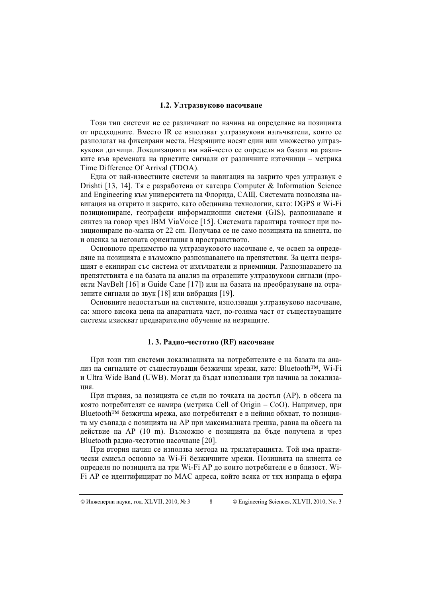## 1.2. Ултразвуково насочване

Този тип системи не се различават по начина на определяне на позицията от предходните. Вместо IR се използват ултразвукови излъчватели, които се разполагат на фиксирани места. Незрящите носят един или множество ултразвукови датчици. Локализацията им най-често се определя на базата на разликите във времената на приетите сигнали от различните източници – метрика Time Difference Of Arrival (TDOA).

Една от най-известните системи за навигация на закрито чрез ултразвук е Drishti [13, 14]. Тя е разработена от катедра Computer & Information Science and Engineering към университета на Флорида, САЩ. Системата позволява навигация на открито и закрито, като обединява технологии, като: DGPS и Wi-Fi позициониране, географски информационни системи (GIS), разпознаване и синтез на говор чрез IBM ViaVoice [15]. Системата гарантира точност при позициониране по-малка от 22 cm. Получава се не само позицията на клиента, но и оценка за неговата ориентация в пространството.

Основното предимство на ултразвуковото насочване е, че освен за определяне на позицията е възможно разпознаването на препятствия. За целта незрящият е екипиран със система от излъчватели и приемници. Разпознаването на препятствията е на базата на анализ на отразените ултразвукови сигнали (проекти NavBelt [16] и Guide Cane [17]) или на базата на преобразуване на отразените сигнали до звук [18] или вибрация [19].

Основните недостатъци на системите, използващи ултразвуково насочване, са: много висока цена на апаратната част, по-голяма част от съществуващите системи изискват предварително обучение на незрящите.

### 1. 3. Радио-честотно (RF) насочване

При този тип системи локализацията на потребителите е на базата на анализ на сигналите от съществуващи безжични мрежи, като: Bluetooth™, Wi-Fi и Ultra Wide Band (UWB). Могат да бъдат използвани три начина за локализашия.

При първия, за позицията се съди по точката на достъп (AP), в обсега на която потребителят се намира (метрика Cell of Origin – CoO). Например, при Bluetooth™ безжична мрежа, ако потребителят е в нейния обхват, то позицията му съвпада с позицията на AP при максималната грешка, равна на обсега на действие на AP (10 m). Възможно е позицията да бъде получена и чрез Bluetooth радио-честотно насочване [20].

При втория начин се използва метода на трилатерацията. Той има практически смисъл основно за Wi-Fi безжичните мрежи. Позицията на клиента се определя по позицията на три Wi-Fi AP до които потребителя е в близост. Wi-Fi AP се идентифицират по MAC адреса, който всяка от тях изпраща в ефира

<sup>8 ©</sup> Engineering Sciences, XLVII, 2010, No. 3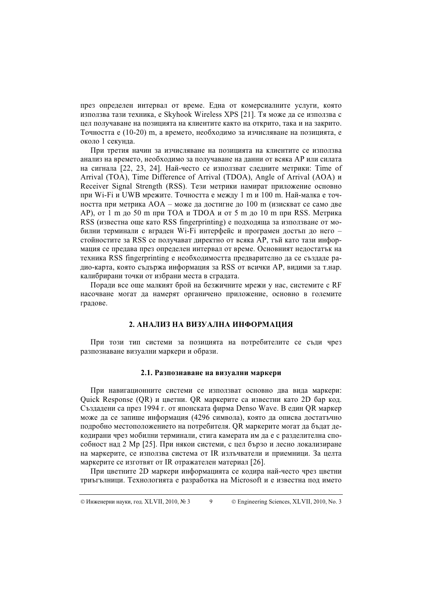през определен интервал от време. Една от комерсиалните услуги, която използва тази техника, e Skyhook Wireless XPS [21]. Тя може да се използва с цел получаване на позицията на клиентите както на открито, така и на закрито. Точността е (10-20) m, а времето, необходимо за изчисляване на позицията, е около 1 секунда.

При третия начин за изчисляване на позицията на клиентите се използва анализ на времето, необходимо за получаване на данни от всяка AP или силата на сигнала [22, 23, 24]. Най-често се използват следните метрики: Time of Arrival (TOA), Time Difference of Arrival (TDOA), Angle of Arrival (AOA) и Receiver Signal Strength (RSS). Тези метрики намират приложение основно при Wi-Fi и UWB мрежите. Точността е между 1 m и 100 m. Най-малка е точността при метрика AOA – може да достигне до 100 m (изискват се само две АР), от 1 m до 50 m при ТОА и ТDOA и от 5 m до 10 m при RSS. Метрика RSS (известна още като RSS fingerprinting) е подходяща за използване от мобилни терминали с вграден Wi-Fi интерфейс и програмен достъп до него – стойностите за RSS се получават директно от всяка AP, тъй като тази информация се предава през определен интервал от време. Основният недостатък на техника RSS fingerprinting е необходимостта предварително да се създаде радио-карта, която съдържа информация за RSS от всички AP, видими за т.нар. калибрирани точки от избрани места в сградата.

Поради все още малкият брой на безжичните мрежи у нас, системите с RF насочване могат да намерят органичено приложение, основно в големите градове.

#### 2. АНАЛИЗ НА ВИЗУАЛНА ИНФОРМАЦИЯ

При този тип системи за позицията на потребителите се съди чрез разпознаване визуални маркери и образи.

### 2.1. Разпознаване на визуални маркери

При навигационните системи се използват основно два вида маркери: Quick Response (QR) и цветни. QR маркерите са известни като 2D бар код. Създадени са през 1994 г. от японската фирма Denso Wave. В един QR маркер може да се запише информация (4296 символа), която да описва достатъчно подробно местоположението на потребителя. QR маркерите могат да бъдат декодирани чрез мобилни терминали, стига камерата им да е с разделителна способност над 2 Мр [25]. При някои системи, с цел бързо и лесно локализиране на маркерите, се използва система от IR излъчватели и приемници. За целта маркерите се изготвят от IR отражателен материал [26].

При цветните 2D маркери информацията се кодира най-често чрез цветни триъгълници. Технологията е разработка на Microsoft и е известна под името

<sup>9 ©</sup> Engineering Sciences, XLVII, 2010, No. 3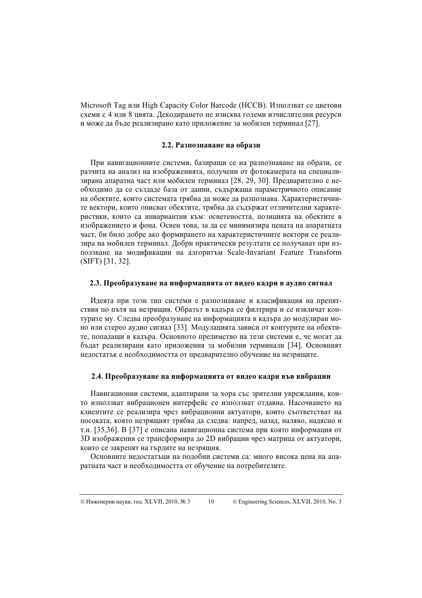Microsoft Tag или High Capacity Color Barcode (HCCB). Използват се цветови схеми с 4 или 8 цвята. Декодирането не изисква големи изчислителни ресурси и може да бъле реализирано като приложение за мобилен терминал [27].

## 2.2. Разпознаване на образи

При навигационните системи, базиращи се на разпознаване на образи, се разчита на анализ на изображенията, получени от фотокамерата на специализирана апаратна част или мобилен терминал [28, 29, 30]. Предварително е необходимо да се създаде база от данни, съдържаща параметричното описание на обектите, които системата трябва да може да разпознава. Характеристичните вектори, които описват обектите, трябва да съдържат отличителни характеристики, които са инвариантни към: осветеността, позицията на обектите в изображението и фона. Освен това, за да се минимизира цената на апаратната част, би било добре ако формирането на характеристичните вектори се реализира на мобилен терминал. Добри практически резултати се получават при използване на модификации на алгоритъм Scale-Invariant Feature Transform  $(SIFT)$  [31, 32].

## 2.3. Преобразуване на информацията от видео кадри в аудио сигнал

Идеята при този тип системи е разпознаване и класификация на препятствия по пътя на незрящия. Образът в кадъра се филтрира и се извличат контурите му. Следва преобразуване на информацията в кадъра до модулиран моно или стерео аудио сигнал [33]. Модулацията зависи от контурите на обектите, попадащи в кадъра. Основното предимство на тези системи е, че могат да бъдат реализирани като приложения за мобилни терминали [34]. Основният нелостатък е необходимостта от предварително обучение на незрящите.

#### 2.4. Преобразуване на информацията от видео кадри във вибрации

Навигационни системи, адаптирани за хора със зрителни увреждания, които използват вибрационен интерфейс се използват отдавна. Насочването на клиентите се реализира чрез вибрационни актуатори, които съответстват на посоката, която незрящият трябва да следва: напред, назад, наляво, надясно и т.н. [35,36]. В [37] е описана навигационна система при която информация от 3D изображения се трансформира до 2D вибрации чрез матрица от актуатори, които се закрепят на гърдите на незрящия.

Основните недостатъци на подобни системи са: много висока цена на апаратната част и необходимостта от обучение на потребителите.

 $10\,$ 

<sup>©</sup> Engineering Sciences, XLVII, 2010, No. 3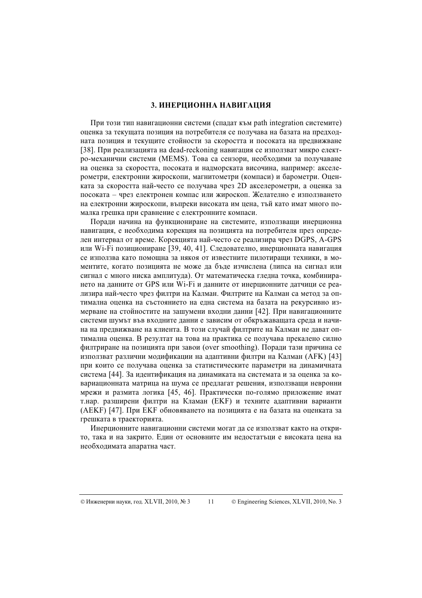## 3. ИНЕРЦИОННА НАВИГАЦИЯ

При този тип навигационни системи (спалат към path integration системите) оценка за текушата позиция на потребителя се получава на базата на предходната позиция и текущите стойности за скоростта и посоката на предвижване [38]. При реализацията на dead-reckoning навигация се използват микро електро-механични системи (MEMS). Това са сензори, необходими за получаване на оценка за скоростта, посоката и надморската височина, например: акселерометри, електронни жироскопи, магнитометри (компаси) и барометри. Оценката за скоростта най-често се получава чрез 2D акселерометри, а оценка за посоката - чрез електронен компас или жироскоп. Желателно е използването на електронни жироскопи, въпреки високата им цена, тъй като имат много помалка грешка при сравнение с електронните компаси.

Поради начина на функциониране на системите, използващи инерционна навигация, е необходима корекция на позицията на потребителя през определен интервал от време. Корекцията най-често се реализира чрез DGPS, A-GPS или Wi-Fi позициониране [39, 40, 41]. Следователно, инерционната навигация се използва като помощна за някоя от известните пилотиращи техники, в моментите, когато позицията не може да бъде изчислена (липса на сигнал или сигнал с много ниска амплитуда). От математическа гледна точка, комбинирането на данните от GPS или Wi-Fi и данните от инерционните датчици се реализира най-често чрез филтри на Калман. Филтрите на Калман са метод за оптимална оценка на състоянието на една система на базата на рекурсивно измерване на стойностите на зашумени входни данни [42]. При навигационните системи шумът във входните данни е зависим от обкръжаващата среда и начина на предвижване на клиента. В този случай филтрите на Калман не дават оптимална оценка. В резултат на това на практика се получава прекалено силно филтриране на позицията при завои (over smoothing). Поради тази причина се използват различни модификации на адаптивни филтри на Калман (АFK) [43] при които се получава оценка за статистическите параметри на динамичната система [44]. За идентификация на динамиката на системата и за оценка за ковариационната матрица на шума се предлагат решения, използващи невронни мрежи и размита логика [45, 46]. Практически по-голямо приложение имат т.нар. разширени филтри на Кламан (ЕКF) и техните адаптивни варианти (AEKF) [47]. При ЕКГ обновяването на позицията е на базата на оценката за грешката в траекторията.

Инерционните навигационни системи могат да се използват както на открито, така и на закрито. Един от основните им недостатъци е високата цена на необходимата апаратна част.

 $11$ 

<sup>©</sup> Engineering Sciences, XLVII, 2010, No. 3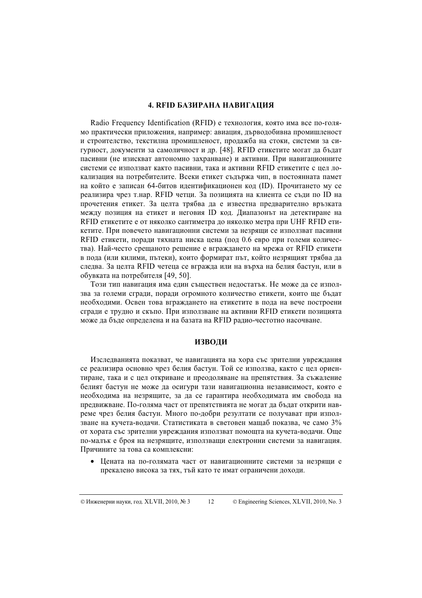## **4. RFID БАЗИРАНА НАВИГАЦИЯ**

Radio Frequency Identification (RFID) е технология, която има все по-голямо практически приложения, например: авиация, дърволобивна промишленост и строителство, текстилна промишленост, продажба на стоки, системи за сигурност, документи за самоличност и др. [48]. RFID етикетите могат да бъдат пасивни (не изискват автономно захранване) и активни. При навигационните системи се използват както пасивни, така и активни RFID етикетите с нел локализация на потребителите. Всеки етикет съдържа чип, в постоянната памет на който е записан 64-битов идентификационен код (ID). Прочитането му се реализира чрез т.нар. RFID четци. За позицията на клиента се съди по ID на прочетения етикет. За целта трябва да е известна предварително връзката между позиция на етикет и неговия ID код. Диапазонът на детектиране на RFID етикетите е от няколко сантиметра до няколко метра при UHF RFID етикетите. При повечето навигационни системи за незрящи се използват пасивни RFID етикети, поради тяхната ниска цена (под 0.6 евро при големи количества). Най-често срещаното решение е вграждането на мрежа от RFID етикети в пода (или килими, пътеки), които формират път, който незрящият трябва да следва. За целта RFID четеца се вгражда или на върха на белия бастун, или в обувката на потребителя [49, 50].

Този тип навигация има един съществен недостатък. Не може да се използва за големи сгради, поради огромното количество етикети, които ще бъдат необходими. Освен това вграждането на етикетите в пода на вече построени сгради е трудно и скъпо. При използване на активни RFID етикети позицията може да бъде определена и на базата на RFID радио-честотно насочване.

## **ИЗВОЛИ**

Изследванията показват, че навигацията на хора със зрителни увреждания се реализира основно чрез белия бастун. Той се използва, както с цел ориентиране, така и с цел откриване и преодоляване на препятствия. За съжаление белият бастун не може ла осигури тази навигационна независимост, която е необходима на незрящите, за да се гарантира необходимата им свобода на предвижване. По-голяма част от препятствията не могат да бъдат открити навреме чрез белия бастун. Много по-добри резултати се получават при използване на кучета-водачи. Статистиката в световен мащаб показва, че само 3% от хората със зрителни увреждания използват помошта на кучета-водачи. Още по-малък е броя на незрящите, използващи електронни системи за навигация. Причините за това са комплексни:

 $\bullet$ Цената на по-голямата част от навигационните системи за незрящи е прекалено висока за тях, тъй като те имат ограничени доходи.

 $12$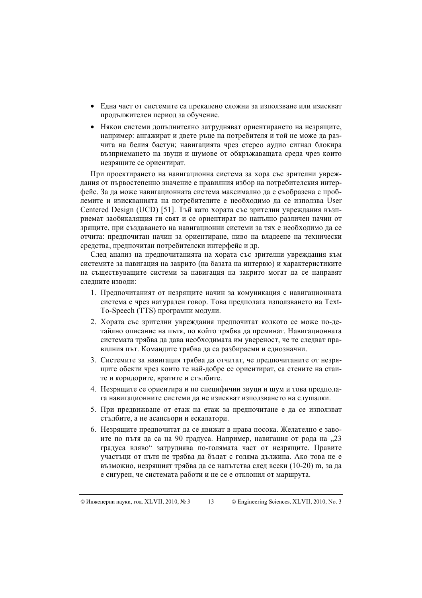- Една част от системите са прекалено сложни за използване или изискват продължителен период за обучение.
- Някои системи допълнително затрудняват ориентирането на незрящите, например: ангажират и двете ръце на потребителя и той не може да разчита на белия бастун; навигацията чрез стерео аудио сигнал блокира възприемането на звуци и шумове от обкръжаващата среда чрез които незрящите се ориентират.

При проектирането на навигационна система за хора със зрителни увреждания от първостепенно значение е правилния избор на потребителския интерфейс. За па може навигационната система максимално па е съобразена с проблемите и изискванията на потребителите е необходимо да се използва User Centered Design (UCD) [51]. Тъй като хората със зрителни увреждания възприемат заобикалящия ги свят и се ориентират по напълно различен начин от зрящите, при създаването на навигационни системи за тях е необходимо да се отчита: предпочитан начин за ориентиране, ниво на владеене на технически средства, предпочитан потребителски интерфейс и др.

След анализ на предпочитанията на хората със зрителни увреждания към системите за навигация на закрито (на базата на интервю) и характеристиките на съществуващите системи за навигация на закрито могат да се направят следните изводи:

- 1. Предпочитаният от незрящите начин за комуникация с навигационната система е чрез натурален говор. Това предполага използването на Техt-To-Speech (TTS) програмни модули.
- 2. Хората със зрителни увреждания предпочитат колкото се може по-детайлно описание на пътя, по който трябва да преминат. Навигационната системата трябва да дава необходимата им увереност, че те следват правилния път. Командите трябва да са разбираеми и еднозначни.
- 3. Системите за навигация трябва да отчитат, че предпочитаните от незрящите обекти чрез които те най-добре се ориентират, са стените на стаите и коридорите, вратите и стълбите.
- 4. Незрящите се ориентира и по специфични звуци и шум и това предполага навигационните системи да не изискват използването на слушалки.
- 5. При предвижване от етаж на етаж за предпочитане е да се използват стълбите, а не асансьори и ескалатори.
- 6. Незрящите предпочитат да се движат в права посока. Желателно е завоите по пътя да са на 90 градуса. Например, навигация от рода на "23 градуса вляво" затруднява по-голямата част от незрящите. Правите участьци от пътя не трябва да бъдат с голяма дължина. Ако това не е възможно, незрящият трябва да се напътства след всеки (10-20) m, за да е сигурен, че системата работи и не се е отклонил от маршрута.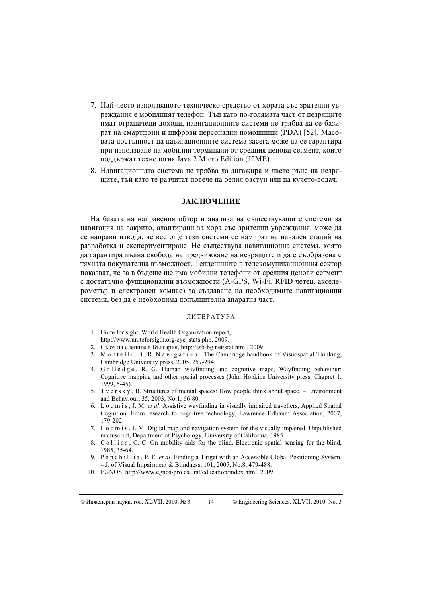- 7. Най-често използваното техническо средство от хората със зрителни увреждания е мобилният телефон. Тъй като по-голямата част от незрящите имат ограничени доходи, навигационните системи не трябва да се базират на смартфони и цифрови персонални помощници (PDA) [52]. Масовата достъпност на навигационните система засега може да се гарантира при използване на мобилни терминали от средния ценови сегмент, които поддържат технология Java 2 Micro Edition (J2ME).
- 8. Навигационната система не трябва да ангажира и двете ръце на незрящите, тъй като те разчитат повече на белия бастун или на кучето-водач.

#### <u>заключение</u>

На базата на направения обзор и анализа на съществуващите системи за навигация на закрито, адаптирани за хора със зрителни увреждания, може да се направи извода, че все още тези системи се намират на начален стадий на разработка и експериментиране. Не съществува навигационна система, която да гарантира пълна свобода на предвижване на незрящите и да е съобразена с тяхната покупателна възможност. Тенденциите в телекомуникационния сектор показват, че за в бъдеще ще има мобилни телефони от средния ценови сегмент с достатъчно функционални възможности (A-GPS, Wi-Fi, RFID четец, акселерометър и електронен компас) за създаване на необходимите навигационни системи, без да е необходима допълнителна апаратна част.

#### ЛИТЕРАТУРА

- 1. Unite for sight, World Health Organization report, http://www.uniteforsigth.org/eye\_stats.php, 2009.
- 2. Съюз на слепите в България, http://ssb-bg.net/stat.html, 2009.
- 3. M o n t e l l i , D., R. N a v i g a t i o n. The Cambridge handbook of Visuospatial Thinking, Cambridge University press, 2005, 257-294.
- 4. G o l l e d g e , R. G. Human wayfinding and cognitive maps, Wayfinding behaviour: Cognitive mapping and other spatial processes (John Hopkins University press, Chapret 1, 1999, 5-45).
- 5. T v e r s k y , B. Structures of mental spaces: How people think about space. Environment and Behaviour, 35, 2003, No.1, 66-80.
- 6. L o o m i s , J. M. et al. Assistive wayfinding in visually impaired travellers, Applied Spatial Cognition: From research to cognitive technology, Lawrence Erlbaum Association, 2007, 179-202.
- 7. L o o m i s , J. M. Digital map and navigation system for the visually impaired. Unpublished manuscript, Department of Psychology, University of California, 1985.
- 8. C o l l i n s, C. C. On mobility aids for the blind, Electronic spatial sensing for the blind, 1985, 35-64.
- 9. P o n c h i l l i a , P. E. et al. Finding a Target with an Accessible Global Positioning System. – J. of Visual Impairment & Blindness, 101, 2007, No.8, 479-488.
- 10. EGNOS, http://www.egnos-pro.esa.int/education/index.html, 2009.

14 © Engineering Sciences, XLVII, 2010, No. 3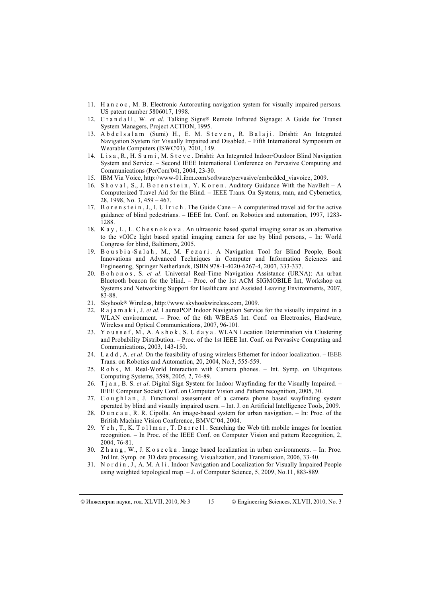- 11. H a n c o c , M. B. Electronic Autorouting navigation system for visually impaired persons. US patent number 5806017, 1998.
- 12. C r a n d a l 1, W. et al. Talking Signs® Remote Infrared Signage: A Guide for Transit System Managers, Project ACTION, 1995.
- 13. A b d e l s a l a m (Sumi) H., E. M. S t e v e n, R. B a l a j i . Drishti: An Integrated Navigation System for Visually Impaired and Disabled. – Fifth International Symposium on Wearable Computers (ISWC'01), 2001, 149.
- 14. L i s a , R., H. S u m i , M. S t e v e . Drishti: An Integrated Indoor/Outdoor Blind Navigation System and Service. – Second IEEE International Conference on Pervasive Computing and Communications (PerCom'04), 2004, 23-30.
- 15. IBM Via Voice, http://www-01.ibm.com/software/pervasive/embedded\_viavoice, 2009.
- 16. Shoval, S., J. Borenstein, Y. Koren. Auditory Guidance With the NavBelt A Computerized Travel Aid for the Blind. – IEEE Trans. On Systems, man, and Cybernetics, 28, 1998, No. 3, 459 – 467.
- 17. B o r e n s t e i n, J., I. U l r i c h. The Guide Cane A computerized travel aid for the active guidance of blind pedestrians. – IEEE Int. Conf. on Robotics and automation, 1997, 1283- 1288.
- 18. K a y , L., L. C h e s n o k o v a . An ultrasonic based spatial imaging sonar as an alternative to the vOICe light based spatial imaging camera for use by blind persons, – In: World Congress for blind, Baltimore, 2005.
- 19. Bousbia-Salah, M., M. Fezari. A Navigation Tool for Blind People, Book Innovations and Advanced Techniques in Computer and Information Sciences and Engineering, Springer Netherlands, ISBN 978-1-4020-6267-4, 2007, 333-337.
- 20. B o h o n o s, S. et al. Universal Real-Time Navigation Assistance (URNA): An urban Bluetooth beacon for the blind. – Proc. of the 1st ACM SIGMOBILE Int, Workshop on Systems and Networking Support for Healthcare and Assisted Leaving Environments, 2007, 83-88.
- 21. Skyhook® Wireless, http://www.skyhookwireless.com, 2009.
- 22. R a j a m a k i , J. et al. LaureaPOP Indoor Navigation Service for the visually impaired in a WLAN environment. – Proc. of the 6th WBEAS Int. Conf. on Electronics, Hardware, Wireless and Optical Communications, 2007, 96-101.
- 23. Youssef, M., A. Ashok, S. Udaya. WLAN Location Determination via Clustering and Probability Distribution. – Proc. of the 1st IEEE Int. Conf. on Pervasive Computing and Communications, 2003, 143-150.
- 24. L a d d, A. et al. On the feasibility of using wireless Ethernet for indoor localization. IEEE Trans. on Robotics and Automation, 20, 2004, No.3, 555-559.
- 25. R o h s , M. Real-World Interaction with Camera phones. Int. Symp. on Ubiquitous Computing Systems, 3598, 2005, 2, 74-89.
- 26. T j a n , B. S. et al. Digital Sign System for Indoor Wayfinding for the Visually Impaired. IEEE Computer Society Conf. on Computer Vision and Pattern recognition, 2005, 30.
- 27.  $C$  o u g h  $l$  a n, J. Functional assessement of a camera phone based wayfinding system operated by blind and visually impaired users. – Int. J. on Artificial Intelligence Tools, 2009.
- 28. D u n c a u , R. R. Cipolla. An image-based system for urban navigation. In: Proc. of the British Machine Vision Conference, BMVC'04, 2004.
- 29. Y e h, T., K. T o l l m a r, T. D a r r e l l. Searching the Web tith mobile images for location recognition. – In Proc. of the IEEE Conf. on Computer Vision and pattern Recognition, 2, 2004, 76-81.
- 30. Z h a n g , W., J. K o s e c k a . Image based localization in urban environments. In: Proc. 3rd Int. Symp. on 3D data processing, Visualization, and Transmission, 2006, 33-40.
- 31. N o r d i n , J., A. M. A l i . Indoor Navigation and Localization for Visually Impaired People using weighted topological map. – J. of Computer Science, 5, 2009, No.11, 883-889.

© Инженерни наук<br>

15 © Engineering Sciences, XLVII, 2010, No. 3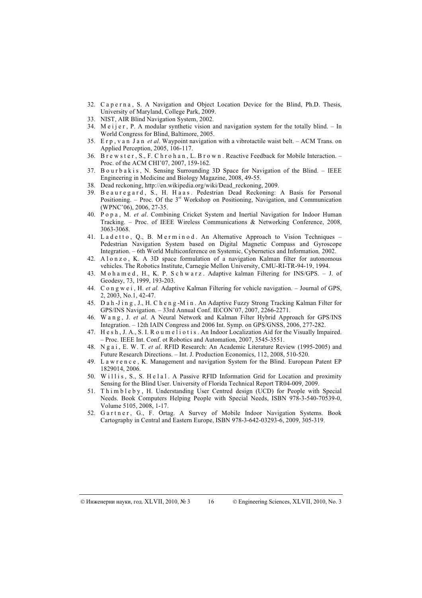- 32. C a p e r n a , S. A Navigation and Object Location Device for the Blind, Ph.D. Thesis, University of Maryland, College Park, 2009.
- 33. NIST, AIR Blind Navigation System, 2002.
- 34. M e i j e r, P. A modular synthetic vision and navigation system for the totally blind. In World Congress for Blind, Baltimore, 2005.
- 35. E r p, v a n J a n *et al.* Waypoint navigation with a vibrotactile waist belt.  $-$  ACM Trans. on Applied Perception, 2005, 106-117.
- 36. B r e w s t e r , S., F. C h r o h a n , L. B r o w n . Reactive Feedback for Mobile Interaction. Proc. of the ACM CHI'07, 2007, 159-162.
- 37. B o u r b a k i s, N. Sensing Surrounding 3D Space for Navigation of the Blind. IEEE Engineering in Medicine and Biology Magazine, 2008, 49-55.
- 38. Dead reckoning, http://en.wikipedia.org/wiki/Dead\_reckoning, 2009.
- 39. Beauregard, S., H. Haas. Pedestrian Dead Reckoning: A Basis for Personal Positioning. – Proc. Of the  $3<sup>rd</sup>$  Workshop on Positioning, Navigation, and Communication (WPNC'06), 2006, 27-35.
- 40. P o p a , M. et al. Combining Cricket System and Inertial Navigation for Indoor Human Tracking. – Proc. of IEEE Wireless Communications & Networking Conference, 2008, 3063-3068.
- 41. Ladetto, Q., B. Merminod. An Alternative Approach to Vision Techniques Pedestrian Navigation System based on Digital Magnetic Compass and Gyroscope Integration. – 6th World Multiconference on Systemic, Cybernetics and Information, 2002.
- 42. A l o n z o , K. A 3D space formulation of a navigation Kalman filter for autonomous vehicles. The Robotics Institute, Carnegie Mellon University, CMU-RI-TR-94-19, 1994.
- 43. M o h a m e d, H., K. P. S c h w a r z. Adaptive kalman Filtering for INS/GPS. J. of Geodesy, 73, 1999, 193-203.
- 44. C o n g w e i , H. et al. Adaptive Kalman Filtering for vehicle navigation. Journal of GPS, 2, 2003, No.1, 42-47.
- 45. D a h -J i n g , J., H. C h e n g -M i n . An Adaptive Fuzzy Strong Tracking Kalman Filter for GPS/INS Navigation. – 33rd Annual Conf. IECON'07, 2007, 2266-2271.
- 46. W a n g , J. et al. A Neural Network and Kalman Filter Hybrid Approach for GPS/INS Integration. – 12th IAIN Congress and 2006 Int. Symp. on GPS/GNSS, 2006, 277-282.
- 47. H e s h , J. A., S. I. R o u m e l i o t i s . An Indoor Localization Aid for the Visually Impaired. – Proc. IEEE Int. Conf. ot Robotics and Automation, 2007, 3545-3551.
- 48. N g a i , E. W. T. et al. RFID Research: An Academic Literature Review (1995-2005) and Future Research Directions. – Int. J. Production Economics, 112, 2008, 510-520.
- 49. L a w r e n c e , K. Management and navigation System for the Blind. European Patent EP 1829014, 2006.
- 50. Willis, S., S. Helal. A Passive RFID Information Grid for Location and proximity Sensing for the Blind User. University of Florida Technical Report TR04-009, 2009.
- 51. Thim b l e b y, H. Understanding User Centred design (UCD) for People with Special Needs. Book Computers Helping People with Special Needs, ISBN 978-3-540-70539-0, Volume 5105, 2008, 1-17.
- 52. Gartner, G., F. Ortag. A Survey of Mobile Indoor Navigation Systems. Book Cartography in Central and Eastern Europe, ISBN 978-3-642-03293-6, 2009, 305-319.